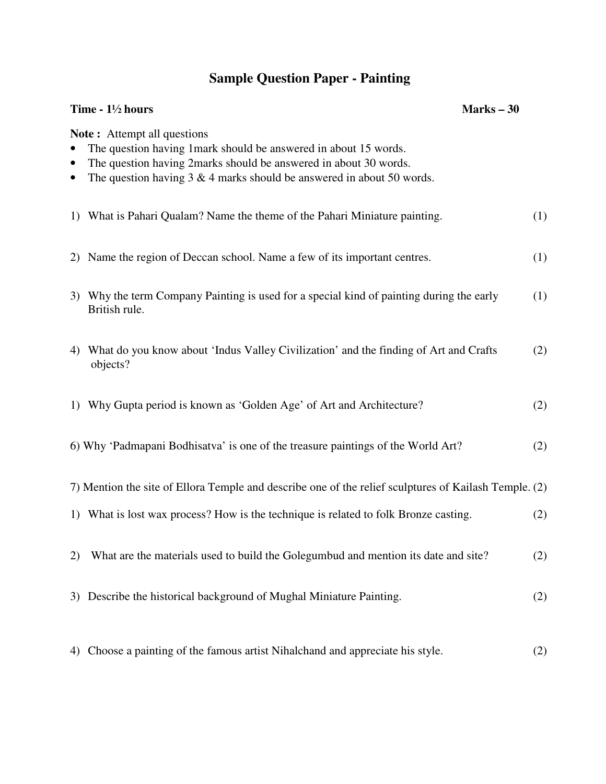## **Sample Question Paper - Painting**

| Time - $1\frac{1}{2}$ hours                                                                           |                                                                                                                                                                                                                                                          | Marks $-30$ |     |
|-------------------------------------------------------------------------------------------------------|----------------------------------------------------------------------------------------------------------------------------------------------------------------------------------------------------------------------------------------------------------|-------------|-----|
| $\bullet$<br>$\bullet$                                                                                | <b>Note:</b> Attempt all questions<br>The question having 1 mark should be answered in about 15 words.<br>The question having 2marks should be answered in about 30 words.<br>The question having $3 \& 4$ marks should be answered in about $50$ words. |             |     |
|                                                                                                       | 1) What is Pahari Qualam? Name the theme of the Pahari Miniature painting.                                                                                                                                                                               |             | (1) |
| 2)                                                                                                    | Name the region of Deccan school. Name a few of its important centres.                                                                                                                                                                                   |             | (1) |
|                                                                                                       | 3) Why the term Company Painting is used for a special kind of painting during the early<br>British rule.                                                                                                                                                |             | (1) |
|                                                                                                       | 4) What do you know about 'Indus Valley Civilization' and the finding of Art and Crafts<br>objects?                                                                                                                                                      |             | (2) |
|                                                                                                       | 1) Why Gupta period is known as 'Golden Age' of Art and Architecture?                                                                                                                                                                                    |             | (2) |
|                                                                                                       | 6) Why 'Padmapani Bodhisatva' is one of the treasure paintings of the World Art?                                                                                                                                                                         |             | (2) |
| 7) Mention the site of Ellora Temple and describe one of the relief sculptures of Kailash Temple. (2) |                                                                                                                                                                                                                                                          |             |     |
|                                                                                                       | 1) What is lost wax process? How is the technique is related to folk Bronze casting.                                                                                                                                                                     |             | (2) |
| 2)                                                                                                    | What are the materials used to build the Golegumbud and mention its date and site?                                                                                                                                                                       |             | (2) |
| 3)                                                                                                    | Describe the historical background of Mughal Miniature Painting.                                                                                                                                                                                         |             | (2) |
| 4)                                                                                                    | Choose a painting of the famous artist Nihalchand and appreciate his style.                                                                                                                                                                              |             | (2) |